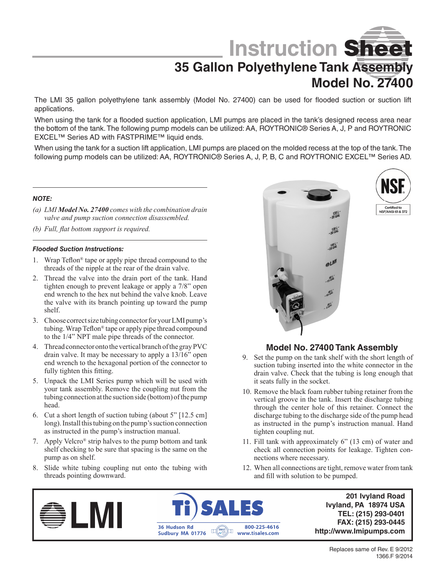**Instruction** Sheet

# **35 Gallon Polyethylene Tank Assembly Model No. 27400**

The LMI 35 gallon polyethylene tank assembly (Model No. 27400) can be used for flooded suction or suction lift applications.

When using the tank for a flooded suction application, LMI pumps are placed in the tank's designed recess area near the bottom of the tank. The following pump models can be utilized: AA, ROYTRONIC® Series A, J, P and ROYTRONIC EXCEL™ Series AD with FASTPRIME™ liquid ends.

When using the tank for a suction lift application, LMI pumps are placed on the molded recess at the top of the tank. The following pump models can be utilized: AA, ROYTRONIC® Series A, J, P, B, C and ROYTRONIC EXCEL™ Series AD.

#### *NOTE:*

- *(a) LMI Model No. 27400 comes with the combination drain valve and pump suction connection disassembled.*
- *(b) Full, flat bottom support is required.*

#### *Flooded Suction Instructions:*

- 1. Wrap Teflon® tape or apply pipe thread compound to the threads of the nipple at the rear of the drain valve.
- 2. Thread the valve into the drain port of the tank. Hand tighten enough to prevent leakage or apply a 7/8" open end wrench to the hex nut behind the valve knob. Leave the valve with its branch pointing up toward the pump shelf.
- 3. Choose correct size tubing connector for your LMI pump's tubing. Wrap Teflon® tape or apply pipe thread compound to the 1/4" NPT male pipe threads of the connector.
- 4. Thread connector onto the vertical branch of the gray PVC drain valve. It may be necessary to apply a 13/16" open end wrench to the hexagonal portion of the connector to fully tighten this fitting.
- 5. Unpack the LMI Series pump which will be used with your tank assembly. Remove the coupling nut from the tubing connection at the suction side (bottom) of the pump head.
- 6. Cut a short length of suction tubing (about 5" [12.5 cm] long). Install this tubing on the pump's suction connection as instructed in the pump's instruction manual.
- 7. Apply Velcro® strip halves to the pump bottom and tank shelf checking to be sure that spacing is the same on the pump as on shelf.
- 8. Slide white tubing coupling nut onto the tubing with threads pointing downward.





### **Model No. 27400 Tank Assembly**

- 9. Set the pump on the tank shelf with the short length of suction tubing inserted into the white connector in the drain valve. Check that the tubing is long enough that it seats fully in the socket.
- 10. Remove the black foam rubber tubing retainer from the vertical groove in the tank. Insert the discharge tubing through the center hole of this retainer. Connect the discharge tubing to the discharge side of the pump head as instructed in the pump's instruction manual. Hand tighten coupling nut.
- 11. Fill tank with approximately 6" (13 cm) of water and check all connection points for leakage. Tighten connections where necessary.
- 12. When all connections are tight, remove water from tank and fill with solution to be pumped.





**201 Ivyland Road Ivyland, PA 18974 USA TEL: (215) 293-0401 FAX: (215) 293-0445 http://www.Imipumps.com**